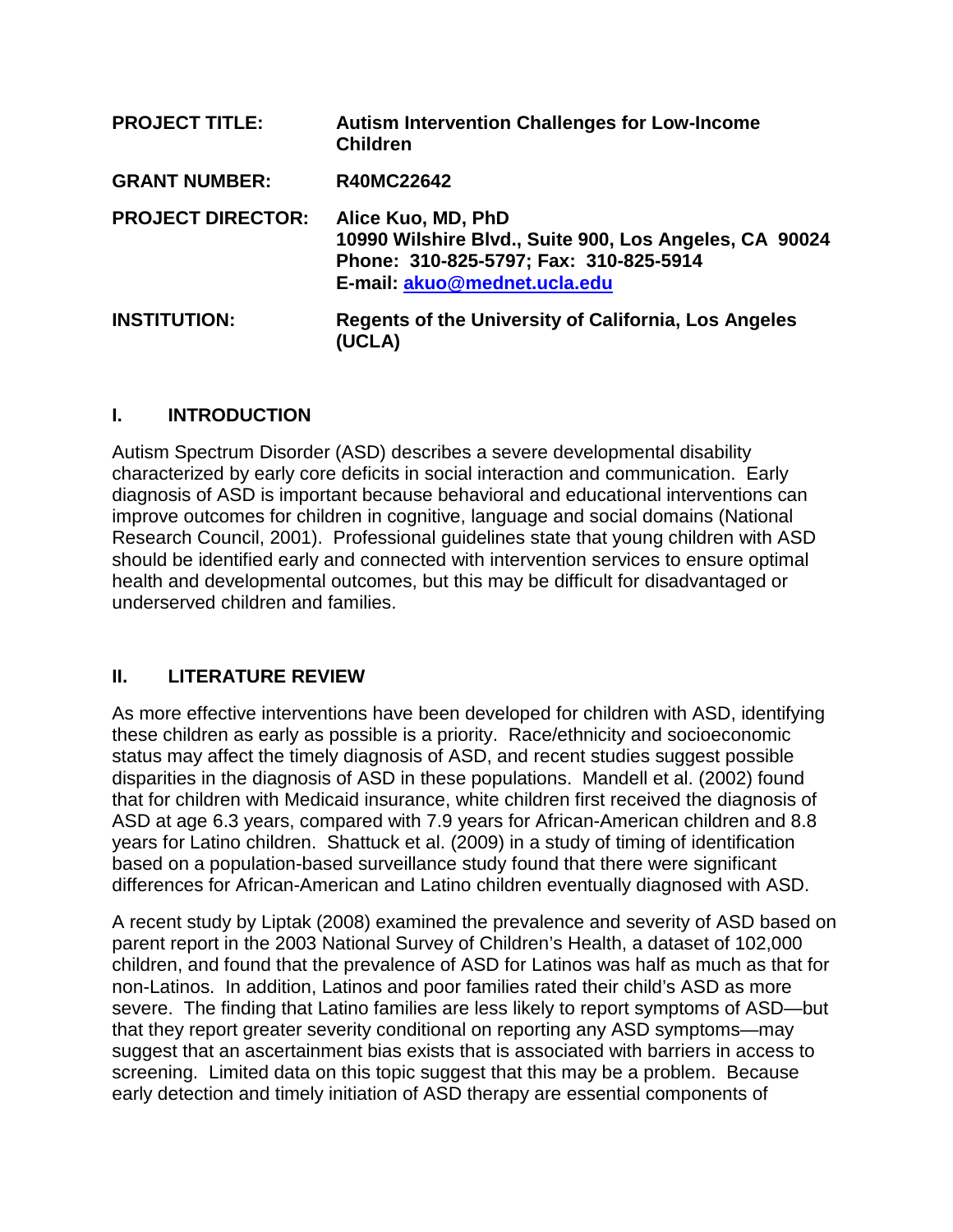| <b>PROJECT TITLE:</b>    | <b>Autism Intervention Challenges for Low-Income</b><br><b>Children</b>                                                                                |
|--------------------------|--------------------------------------------------------------------------------------------------------------------------------------------------------|
| <b>GRANT NUMBER:</b>     | <b>R40MC22642</b>                                                                                                                                      |
| <b>PROJECT DIRECTOR:</b> | Alice Kuo, MD, PhD<br>10990 Wilshire Blvd., Suite 900, Los Angeles, CA 90024<br>Phone: 310-825-5797; Fax: 310-825-5914<br>E-mail: akuo@mednet.ucla.edu |
| <b>INSTITUTION:</b>      | <b>Regents of the University of California, Los Angeles</b><br>(UCLA)                                                                                  |

### **I. INTRODUCTION**

Autism Spectrum Disorder (ASD) describes a severe developmental disability characterized by early core deficits in social interaction and communication. Early diagnosis of ASD is important because behavioral and educational interventions can improve outcomes for children in cognitive, language and social domains (National Research Council, 2001). Professional guidelines state that young children with ASD should be identified early and connected with intervention services to ensure optimal health and developmental outcomes, but this may be difficult for disadvantaged or underserved children and families.

# **II. LITERATURE REVIEW**

As more effective interventions have been developed for children with ASD, identifying these children as early as possible is a priority. Race/ethnicity and socioeconomic status may affect the timely diagnosis of ASD, and recent studies suggest possible disparities in the diagnosis of ASD in these populations. Mandell et al. (2002) found that for children with Medicaid insurance, white children first received the diagnosis of ASD at age 6.3 years, compared with 7.9 years for African-American children and 8.8 years for Latino children. Shattuck et al. (2009) in a study of timing of identification based on a population-based surveillance study found that there were significant differences for African-American and Latino children eventually diagnosed with ASD.

A recent study by Liptak (2008) examined the prevalence and severity of ASD based on parent report in the 2003 National Survey of Children's Health, a dataset of 102,000 children, and found that the prevalence of ASD for Latinos was half as much as that for non-Latinos. In addition, Latinos and poor families rated their child's ASD as more severe. The finding that Latino families are less likely to report symptoms of ASD—but that they report greater severity conditional on reporting any ASD symptoms—may suggest that an ascertainment bias exists that is associated with barriers in access to screening. Limited data on this topic suggest that this may be a problem. Because early detection and timely initiation of ASD therapy are essential components of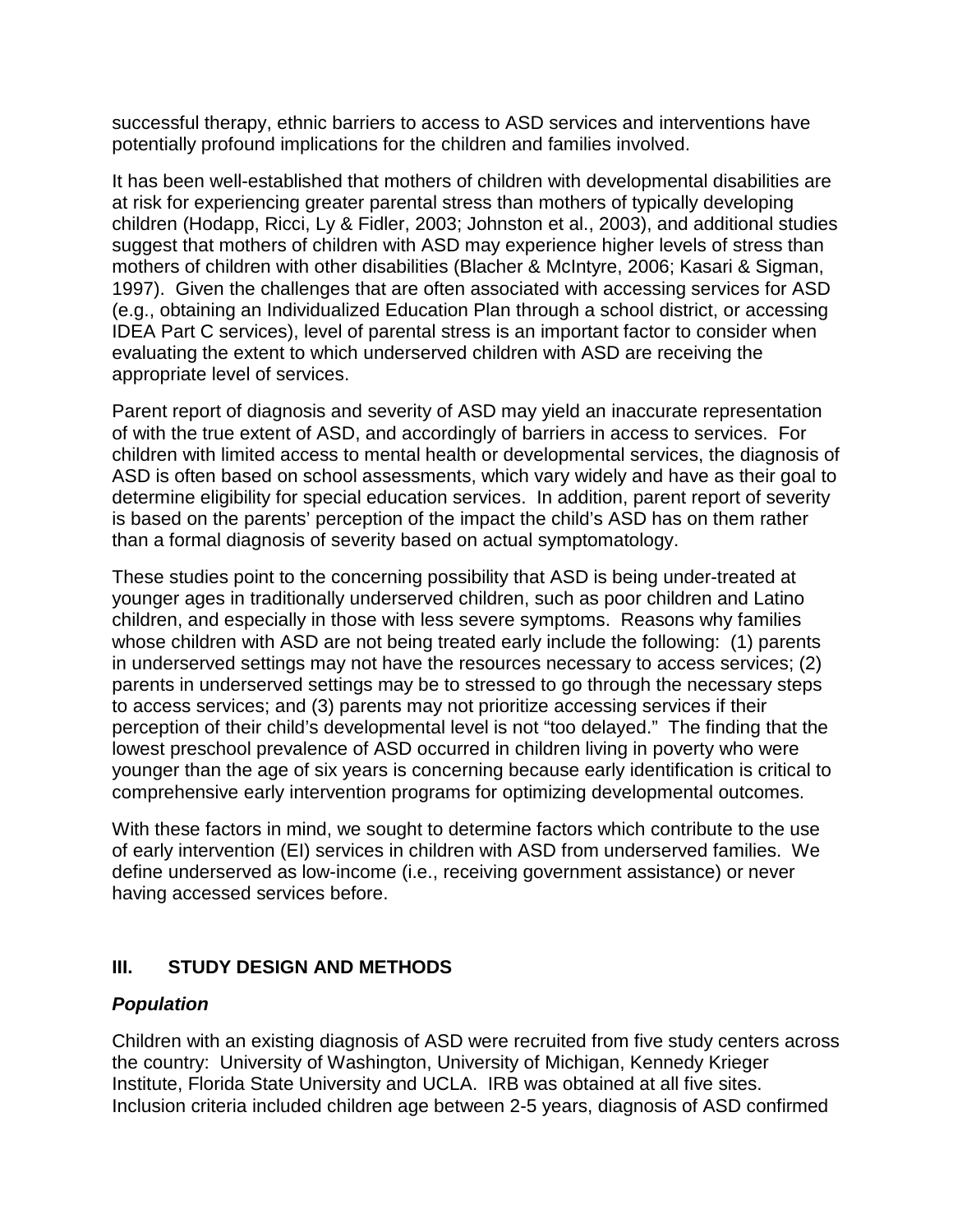successful therapy, ethnic barriers to access to ASD services and interventions have potentially profound implications for the children and families involved.

It has been well-established that mothers of children with developmental disabilities are at risk for experiencing greater parental stress than mothers of typically developing children (Hodapp, Ricci, Ly & Fidler, 2003; Johnston et al., 2003), and additional studies suggest that mothers of children with ASD may experience higher levels of stress than mothers of children with other disabilities (Blacher & McIntyre, 2006; Kasari & Sigman, 1997). Given the challenges that are often associated with accessing services for ASD (e.g., obtaining an Individualized Education Plan through a school district, or accessing IDEA Part C services), level of parental stress is an important factor to consider when evaluating the extent to which underserved children with ASD are receiving the appropriate level of services.

Parent report of diagnosis and severity of ASD may yield an inaccurate representation of with the true extent of ASD, and accordingly of barriers in access to services. For children with limited access to mental health or developmental services, the diagnosis of ASD is often based on school assessments, which vary widely and have as their goal to determine eligibility for special education services. In addition, parent report of severity is based on the parents' perception of the impact the child's ASD has on them rather than a formal diagnosis of severity based on actual symptomatology.

These studies point to the concerning possibility that ASD is being under-treated at younger ages in traditionally underserved children, such as poor children and Latino children, and especially in those with less severe symptoms. Reasons why families whose children with ASD are not being treated early include the following: (1) parents in underserved settings may not have the resources necessary to access services; (2) parents in underserved settings may be to stressed to go through the necessary steps to access services; and (3) parents may not prioritize accessing services if their perception of their child's developmental level is not "too delayed." The finding that the lowest preschool prevalence of ASD occurred in children living in poverty who were younger than the age of six years is concerning because early identification is critical to comprehensive early intervention programs for optimizing developmental outcomes.

With these factors in mind, we sought to determine factors which contribute to the use of early intervention (EI) services in children with ASD from underserved families. We define underserved as low-income (i.e., receiving government assistance) or never having accessed services before.

# **III. STUDY DESIGN AND METHODS**

### *Population*

Children with an existing diagnosis of ASD were recruited from five study centers across the country: University of Washington, University of Michigan, Kennedy Krieger Institute, Florida State University and UCLA. IRB was obtained at all five sites. Inclusion criteria included children age between 2-5 years, diagnosis of ASD confirmed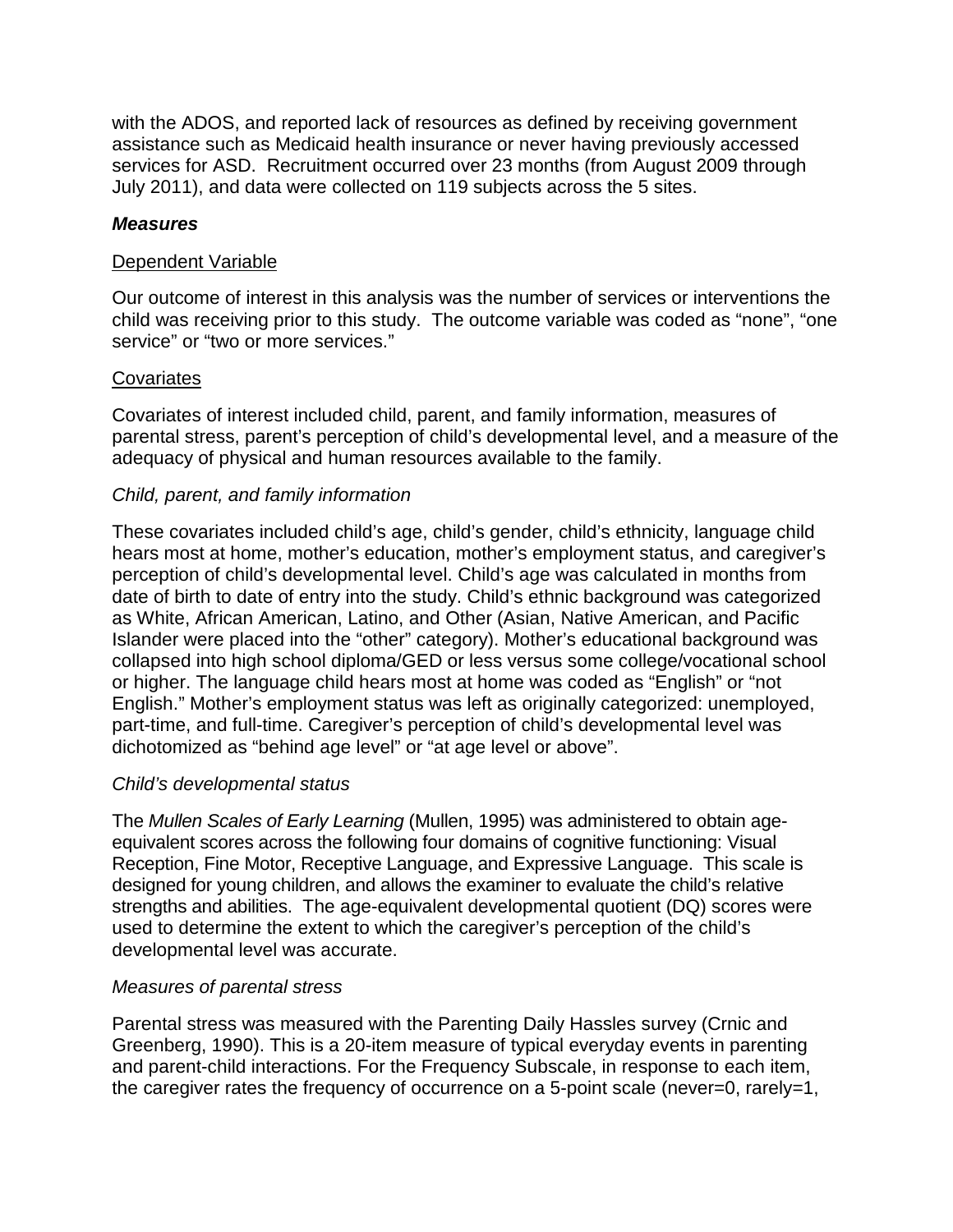with the ADOS, and reported lack of resources as defined by receiving government assistance such as Medicaid health insurance or never having previously accessed services for ASD. Recruitment occurred over 23 months (from August 2009 through July 2011), and data were collected on 119 subjects across the 5 sites.

### *Measures*

#### **Dependent Variable**

Our outcome of interest in this analysis was the number of services or interventions the child was receiving prior to this study. The outcome variable was coded as "none", "one service" or "two or more services."

#### **Covariates**

Covariates of interest included child, parent, and family information, measures of parental stress, parent's perception of child's developmental level, and a measure of the adequacy of physical and human resources available to the family.

### *Child, parent, and family information*

These covariates included child's age, child's gender, child's ethnicity, language child hears most at home, mother's education, mother's employment status, and caregiver's perception of child's developmental level. Child's age was calculated in months from date of birth to date of entry into the study. Child's ethnic background was categorized as White, African American, Latino, and Other (Asian, Native American, and Pacific Islander were placed into the "other" category). Mother's educational background was collapsed into high school diploma/GED or less versus some college/vocational school or higher. The language child hears most at home was coded as "English" or "not English." Mother's employment status was left as originally categorized: unemployed, part-time, and full-time. Caregiver's perception of child's developmental level was dichotomized as "behind age level" or "at age level or above".

### *Child's developmental status*

The *Mullen Scales of Early Learning* (Mullen, 1995) was administered to obtain ageequivalent scores across the following four domains of cognitive functioning: Visual Reception, Fine Motor, Receptive Language, and Expressive Language. This scale is designed for young children, and allows the examiner to evaluate the child's relative strengths and abilities. The age-equivalent developmental quotient (DQ) scores were used to determine the extent to which the caregiver's perception of the child's developmental level was accurate.

#### *Measures of parental stress*

Parental stress was measured with the Parenting Daily Hassles survey (Crnic and Greenberg, 1990). This is a 20-item measure of typical everyday events in parenting and parent-child interactions. For the Frequency Subscale, in response to each item, the caregiver rates the frequency of occurrence on a 5-point scale (never=0, rarely=1,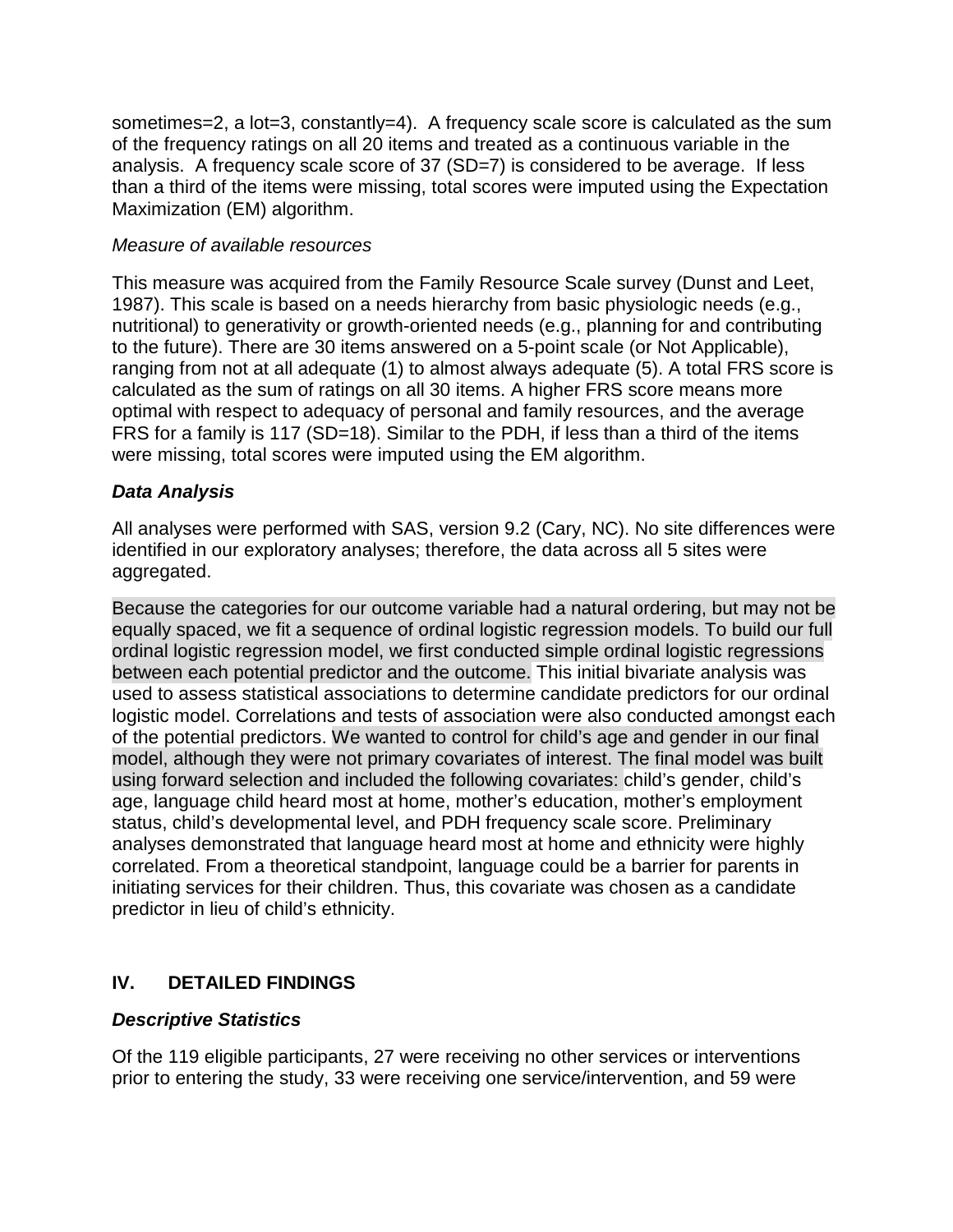sometimes=2, a lot=3, constantly=4). A frequency scale score is calculated as the sum of the frequency ratings on all 20 items and treated as a continuous variable in the analysis. A frequency scale score of 37 (SD=7) is considered to be average. If less than a third of the items were missing, total scores were imputed using the Expectation Maximization (EM) algorithm.

### *Measure of available resources*

This measure was acquired from the Family Resource Scale survey (Dunst and Leet, 1987). This scale is based on a needs hierarchy from basic physiologic needs (e.g., nutritional) to generativity or growth-oriented needs (e.g., planning for and contributing to the future). There are 30 items answered on a 5-point scale (or Not Applicable), ranging from not at all adequate (1) to almost always adequate (5). A total FRS score is calculated as the sum of ratings on all 30 items. A higher FRS score means more optimal with respect to adequacy of personal and family resources, and the average FRS for a family is 117 (SD=18). Similar to the PDH, if less than a third of the items were missing, total scores were imputed using the EM algorithm.

# *Data Analysis*

All analyses were performed with SAS, version 9.2 (Cary, NC). No site differences were identified in our exploratory analyses; therefore, the data across all 5 sites were aggregated.

Because the categories for our outcome variable had a natural ordering, but may not be equally spaced, we fit a sequence of ordinal logistic regression models. To build our full ordinal logistic regression model, we first conducted simple ordinal logistic regressions between each potential predictor and the outcome. This initial bivariate analysis was used to assess statistical associations to determine candidate predictors for our ordinal logistic model. Correlations and tests of association were also conducted amongst each of the potential predictors. We wanted to control for child's age and gender in our final model, although they were not primary covariates of interest. The final model was built using forward selection and included the following covariates: child's gender, child's age, language child heard most at home, mother's education, mother's employment status, child's developmental level, and PDH frequency scale score. Preliminary analyses demonstrated that language heard most at home and ethnicity were highly correlated. From a theoretical standpoint, language could be a barrier for parents in initiating services for their children. Thus, this covariate was chosen as a candidate predictor in lieu of child's ethnicity.

# **IV. DETAILED FINDINGS**

# *Descriptive Statistics*

Of the 119 eligible participants, 27 were receiving no other services or interventions prior to entering the study, 33 were receiving one service/intervention, and 59 were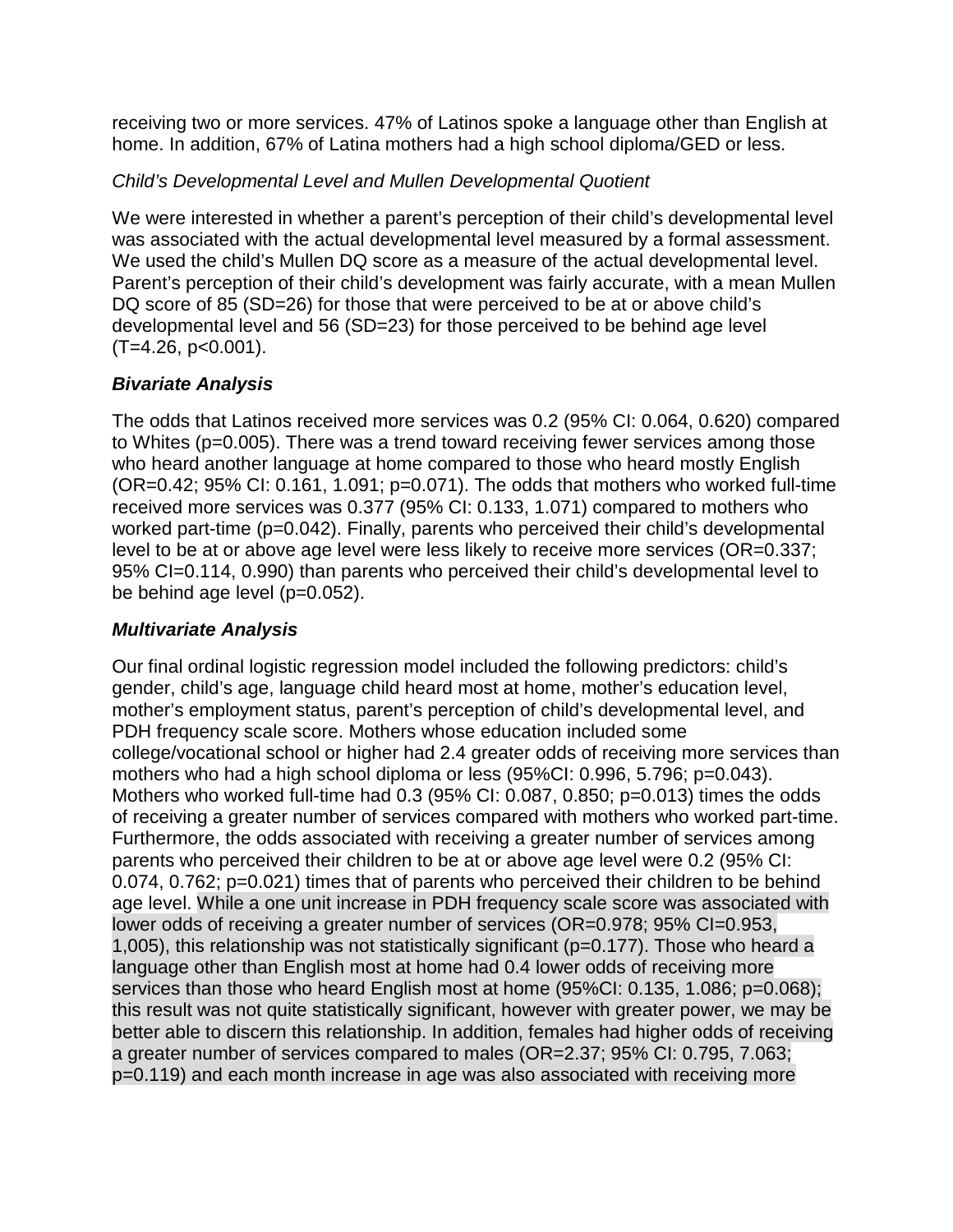receiving two or more services. 47% of Latinos spoke a language other than English at home. In addition, 67% of Latina mothers had a high school diploma/GED or less.

# *Child's Developmental Level and Mullen Developmental Quotient*

We were interested in whether a parent's perception of their child's developmental level was associated with the actual developmental level measured by a formal assessment. We used the child's Mullen DQ score as a measure of the actual developmental level. Parent's perception of their child's development was fairly accurate, with a mean Mullen DQ score of 85 (SD=26) for those that were perceived to be at or above child's developmental level and 56 (SD=23) for those perceived to be behind age level  $(T=4.26, p<0.001)$ .

# *Bivariate Analysis*

The odds that Latinos received more services was 0.2 (95% CI: 0.064, 0.620) compared to Whites (p=0.005). There was a trend toward receiving fewer services among those who heard another language at home compared to those who heard mostly English (OR=0.42; 95% CI: 0.161, 1.091; p=0.071). The odds that mothers who worked full-time received more services was 0.377 (95% CI: 0.133, 1.071) compared to mothers who worked part-time (p=0.042). Finally, parents who perceived their child's developmental level to be at or above age level were less likely to receive more services (OR=0.337; 95% CI=0.114, 0.990) than parents who perceived their child's developmental level to be behind age level (p=0.052).

# *Multivariate Analysis*

Our final ordinal logistic regression model included the following predictors: child's gender, child's age, language child heard most at home, mother's education level, mother's employment status, parent's perception of child's developmental level, and PDH frequency scale score. Mothers whose education included some college/vocational school or higher had 2.4 greater odds of receiving more services than mothers who had a high school diploma or less (95%CI: 0.996, 5.796; p=0.043). Mothers who worked full-time had 0.3 (95% CI: 0.087, 0.850; p=0.013) times the odds of receiving a greater number of services compared with mothers who worked part-time. Furthermore, the odds associated with receiving a greater number of services among parents who perceived their children to be at or above age level were 0.2 (95% CI: 0.074, 0.762; p=0.021) times that of parents who perceived their children to be behind age level. While a one unit increase in PDH frequency scale score was associated with lower odds of receiving a greater number of services (OR=0.978; 95% CI=0.953, 1,005), this relationship was not statistically significant (p=0.177). Those who heard a language other than English most at home had 0.4 lower odds of receiving more services than those who heard English most at home (95%CI: 0.135, 1.086; p=0.068); this result was not quite statistically significant, however with greater power, we may be better able to discern this relationship. In addition, females had higher odds of receiving a greater number of services compared to males (OR=2.37; 95% CI: 0.795, 7.063; p=0.119) and each month increase in age was also associated with receiving more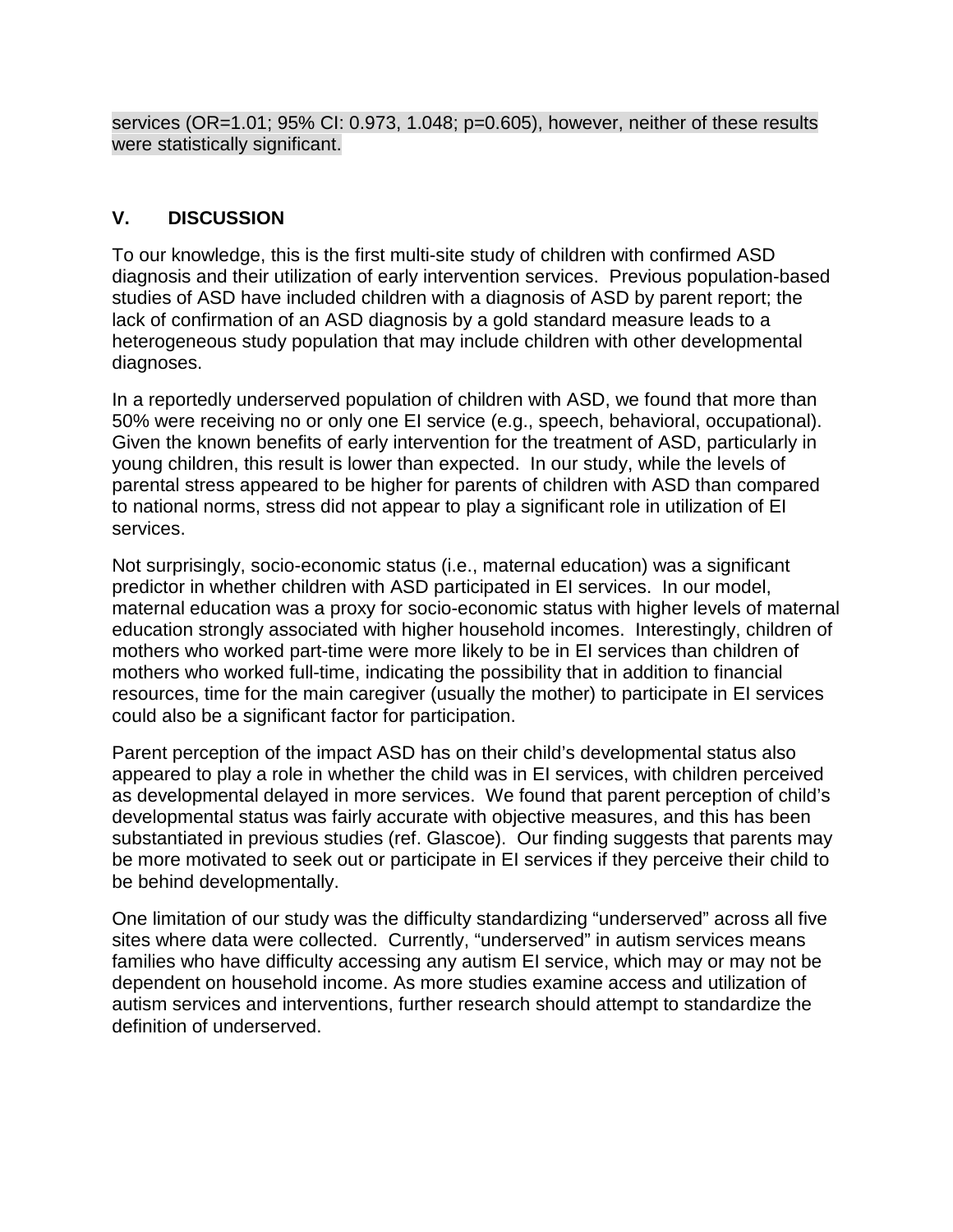services (OR=1.01; 95% CI: 0.973, 1.048; p=0.605), however, neither of these results were statistically significant.

### **V. DISCUSSION**

To our knowledge, this is the first multi-site study of children with confirmed ASD diagnosis and their utilization of early intervention services. Previous population-based studies of ASD have included children with a diagnosis of ASD by parent report; the lack of confirmation of an ASD diagnosis by a gold standard measure leads to a heterogeneous study population that may include children with other developmental diagnoses.

In a reportedly underserved population of children with ASD, we found that more than 50% were receiving no or only one EI service (e.g., speech, behavioral, occupational). Given the known benefits of early intervention for the treatment of ASD, particularly in young children, this result is lower than expected. In our study, while the levels of parental stress appeared to be higher for parents of children with ASD than compared to national norms, stress did not appear to play a significant role in utilization of EI services.

Not surprisingly, socio-economic status (i.e., maternal education) was a significant predictor in whether children with ASD participated in EI services. In our model, maternal education was a proxy for socio-economic status with higher levels of maternal education strongly associated with higher household incomes. Interestingly, children of mothers who worked part-time were more likely to be in EI services than children of mothers who worked full-time, indicating the possibility that in addition to financial resources, time for the main caregiver (usually the mother) to participate in EI services could also be a significant factor for participation.

Parent perception of the impact ASD has on their child's developmental status also appeared to play a role in whether the child was in EI services, with children perceived as developmental delayed in more services. We found that parent perception of child's developmental status was fairly accurate with objective measures, and this has been substantiated in previous studies (ref. Glascoe). Our finding suggests that parents may be more motivated to seek out or participate in EI services if they perceive their child to be behind developmentally.

One limitation of our study was the difficulty standardizing "underserved" across all five sites where data were collected. Currently, "underserved" in autism services means families who have difficulty accessing any autism EI service, which may or may not be dependent on household income. As more studies examine access and utilization of autism services and interventions, further research should attempt to standardize the definition of underserved.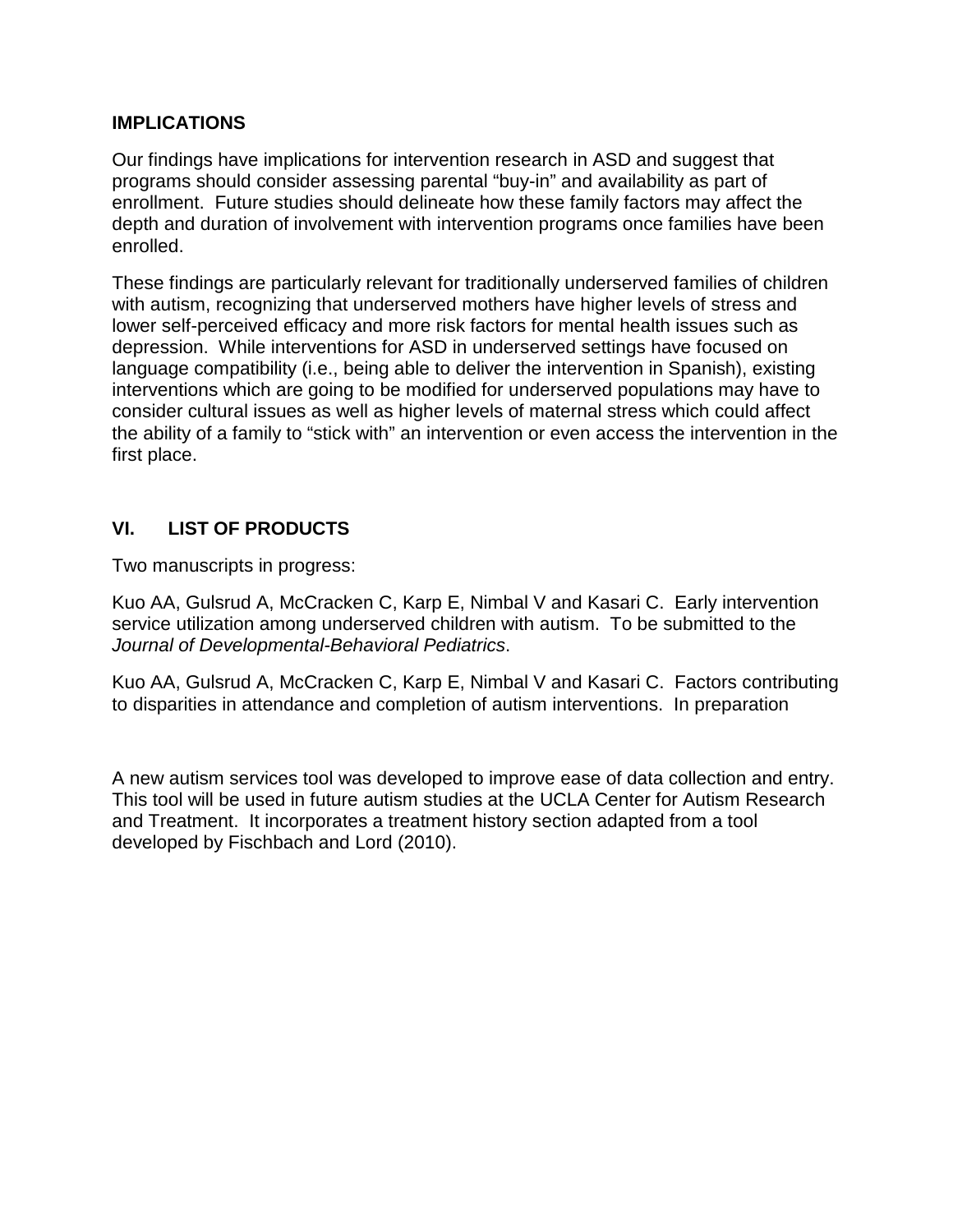#### **IMPLICATIONS**

Our findings have implications for intervention research in ASD and suggest that programs should consider assessing parental "buy-in" and availability as part of enrollment. Future studies should delineate how these family factors may affect the depth and duration of involvement with intervention programs once families have been enrolled.

These findings are particularly relevant for traditionally underserved families of children with autism, recognizing that underserved mothers have higher levels of stress and lower self-perceived efficacy and more risk factors for mental health issues such as depression. While interventions for ASD in underserved settings have focused on language compatibility (i.e., being able to deliver the intervention in Spanish), existing interventions which are going to be modified for underserved populations may have to consider cultural issues as well as higher levels of maternal stress which could affect the ability of a family to "stick with" an intervention or even access the intervention in the first place.

# **VI. LIST OF PRODUCTS**

Two manuscripts in progress:

Kuo AA, Gulsrud A, McCracken C, Karp E, Nimbal V and Kasari C. Early intervention service utilization among underserved children with autism. To be submitted to the *Journal of Developmental-Behavioral Pediatrics*.

Kuo AA, Gulsrud A, McCracken C, Karp E, Nimbal V and Kasari C. Factors contributing to disparities in attendance and completion of autism interventions. In preparation

A new autism services tool was developed to improve ease of data collection and entry. This tool will be used in future autism studies at the UCLA Center for Autism Research and Treatment. It incorporates a treatment history section adapted from a tool developed by Fischbach and Lord (2010).